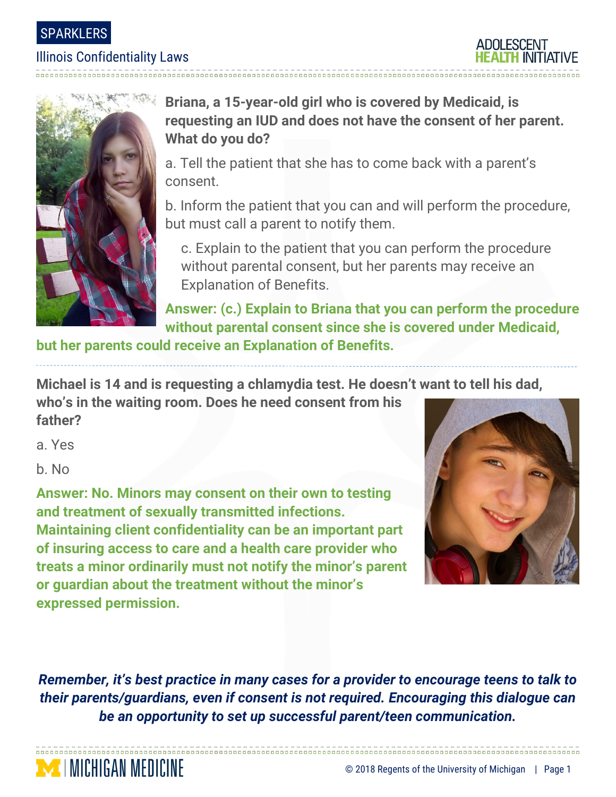### SPARKLERS

### Illinois Confidentiality Laws





# **Briana, a 15-year-old girl who is covered by Medicaid, is requesting an IUD and does not have the consent of her parent. What do you do?**

a. Tell the patient that she has to come back with a parent's consent.

b. Inform the patient that you can and will perform the procedure, but must call a parent to notify them.

c. Explain to the patient that you can perform the procedure without parental consent, but her parents may receive an Explanation of Benefits.

**Answer: (c.) Explain to Briana that you can perform the procedure without parental consent since she is covered under Medicaid,** 

**but her parents could receive an Explanation of Benefits.** 

**Michael is 14 and is requesting a chlamydia test. He doesn't want to tell his dad,** 

**who's in the waiting room. Does he need consent from his father?**

a. Yes

b. No

**MINICHIGAN MEDICINE** 

**Answer: No. Minors may consent on their own to testing and treatment of sexually transmitted infections. Maintaining client confidentiality can be an important part of insuring access to care and a health care provider who treats a minor ordinarily must not notify the minor's parent or guardian about the treatment without the minor's expressed permission.**



*Remember, it's best practice in many cases for a provider to encourage teens to talk to their parents/guardians, even if consent is not required. Encouraging this dialogue can be an opportunity to set up successful parent/teen communication.*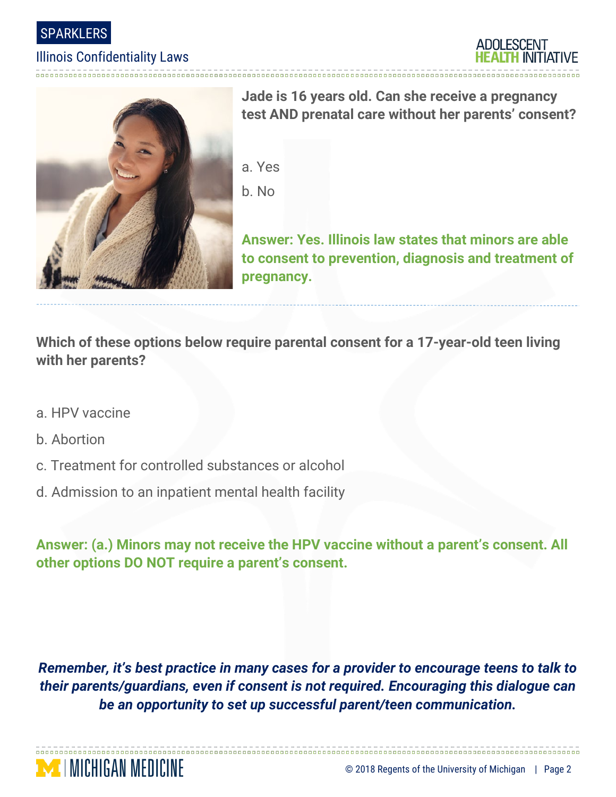

### Illinois Confidentiality Laws





**Jade is 16 years old. Can she receive a pregnancy test AND prenatal care without her parents' consent?**

a. Yes b. No

**Answer: Yes. Illinois law states that minors are able to consent to prevention, diagnosis and treatment of pregnancy.** 

**Which of these options below require parental consent for a 17-year-old teen living with her parents?**

- a. HPV vaccine
- b. Abortion
- c. Treatment for controlled substances or alcohol
- d. Admission to an inpatient mental health facility

**Answer: (a.) Minors may not receive the HPV vaccine without a parent's consent. All other options DO NOT require a parent's consent.** 

*Remember, it's best practice in many cases for a provider to encourage teens to talk to their parents/guardians, even if consent is not required. Encouraging this dialogue can be an opportunity to set up successful parent/teen communication.*